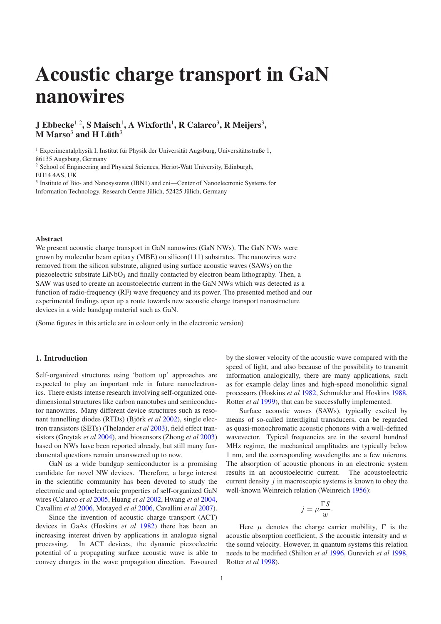# **Acoustic charge transport in GaN nanowires**

# **J Ebbecke** 1,2 **, S Maisch** 1 **, A Wixforth** 1 **, R Calarco** 3 **, R Meijers** 3 **,**  $M$   $M$ arso<sup>3</sup> and  $H$   $L$ üth<sup>3</sup>

 $1$  Experimentalphysik I, Institut für Physik der Universität Augsburg, Universitätsstraße 1, 86135 Augsburg, Germany

<sup>2</sup> School of Engineering and Physical Sciences, Heriot-Watt University, Edinburgh, EH14 4AS, UK

<sup>3</sup> Institute of Bio- and Nanosystems (IBN1) and cni-Center of Nanoelectronic Systems for Information Technology, Research Centre Jülich, 52425 Jülich, Germany

## **Abstract**

We present acoustic charge transport in GaN nanowires (GaN NWs). The GaN NWs were grown by molecular beam epitaxy (MBE) on silicon( $111$ ) substrates. The nanowires were removed from the silicon substrate, aligned using surface acoustic waves (SAWs) on the piezoelectric substrate  $LiNbO<sub>3</sub>$  and finally contacted by electron beam lithography. Then, a SAW was used to create an acoustoelectric current in the GaN NWs which was detected as a function of radio-frequency (RF) wave frequency and its power. The presented method and our experimental findings open up a route towards new acoustic charge transport nanostructure devices in a wide bandgap material such as GaN.

(Some figures in this article are in colour only in the electronic version)

# **1. Introduction**

Self-organized structures using 'bottom up' approaches are expected to play an important role in future nanoelectronics. There exists intense research involving self-organized onedimensional structures like carbon nanotubes and semiconductor nanowires. Many different device structures such as resonant tunnelling diodes (RTDs) (Björk *et al* [2002\)](#page-4-0), single electron transistors (SETs) (Thelander *et al* [2003\)](#page-4-1), field effect transistors (Greytak *et al* [2004\)](#page-4-2), and biosensors (Zhong *et al* [2003\)](#page-4-3) based on NWs have been reported already, but still many fundamental questions remain unanswered up to now.

GaN as a wide bandgap semiconductor is a promising candidate for novel NW devices. Therefore, a large interest in the scientific community has been devoted to study the electronic and optoelectronic properties of self-organized GaN wires (Calarco *et al* [2005,](#page-4-4) Huang *et al* [2002,](#page-4-5) Hwang *et al* [2004,](#page-4-6) Cavallini *et al* [2006,](#page-4-7) Motayed *et al* [2006,](#page-4-8) Cavallini *et al* [2007\)](#page-4-9).

Since the invention of acoustic charge transport (ACT) devices in GaAs (Hoskins *et al* [1982\)](#page-4-10) there has been an increasing interest driven by applications in analogue signal processing. In ACT devices, the dynamic piezoelectric potential of a propagating surface acoustic wave is able to convey charges in the wave propagation direction. Favoured

by the slower velocity of the acoustic wave compared with the speed of light, and also because of the possibility to transmit information analogically, there are many applications, such as for example delay lines and high-speed monolithic signal processors (Hoskins *et al* [1982,](#page-4-10) Schmukler and Hoskins [1988,](#page-4-11) Rotter *et al* [1999\)](#page-4-12), that can be successfully implemented.

Surface acoustic waves (SAWs), typically excited by means of so-called interdigital transducers, can be regarded as quasi-monochromatic acoustic phonons with a well-defined wavevector. Typical frequencies are in the several hundred MHz regime, the mechanical amplitudes are typically below 1 nm, and the corresponding wavelengths are a few microns. The absorption of acoustic phonons in an electronic system results in an acoustoelectric current. The acoustoelectric current density *j* in macroscopic systems is known to obey the well-known Weinreich relation (Weinreich [1956\)](#page-4-13):

$$
j = \mu \frac{\Gamma S}{w}.
$$

Here  $\mu$  denotes the charge carrier mobility,  $\Gamma$  is the acoustic absorption coefficient, *S* the acoustic intensity and w the sound velocity. However, in quantum systems this relation needs to be modified (Shilton *et al* [1996,](#page-4-14) Gurevich *et al* [1998,](#page-4-15) Rotter *et al* [1998\)](#page-4-16).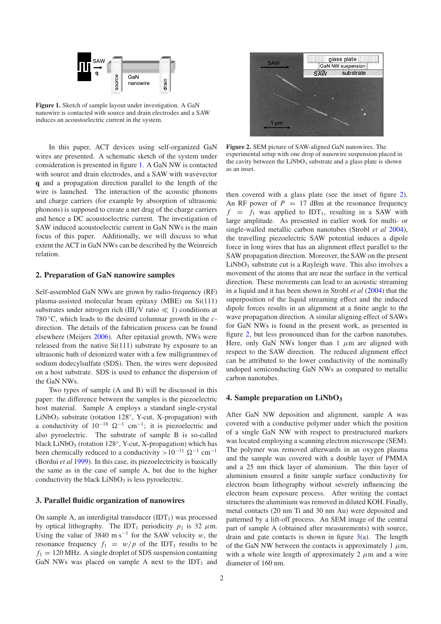<span id="page-1-0"></span>

**Figure 1.** Sketch of sample layout under investigation. A GaN nanowire is contacted with source and drain electrodes and a SAW induces an acoustoelectric current in the system.

In this paper, ACT devices using self-organized GaN wires are presented. A schematic sketch of the system under consideration is presented in figure [1.](#page-1-0) A GaN NW is contacted with source and drain electrodes, and a SAW with wavevector **q** and a propagation direction parallel to the length of the wire is launched. The interaction of the acoustic phonons and charge carriers (for example by absorption of ultrasonic phonons) is supposed to create a net drag of the charge carriers and hence a DC acoustoelectric current. The investigation of SAW induced acoustoelectric current in GaN NWs is the main focus of this paper. Additionally, we will discuss to what extent the ACT in GaN NWs can be described by the Weinreich relation.

# **2. Preparation of GaN nanowire samples**

Self-assembled GaN NWs are grown by radio-frequency (RF) plasma-assisted molecular beam epitaxy (MBE) on Si(111) substrates under nitrogen rich (III/V ratio  $\ll$  1) conditions at 780 ◦C, which leads to the desired columnar growth in the *c*direction. The details of the fabrication process can be found elsewhere (Meijers [2006\)](#page-4-17). After epitaxial growth, NWs were released from the native Si(111) substrate by exposure to an ultrasonic bath of deionized water with a few milligrammes of sodium dodecylsulfate (SDS). Then, the wires were deposited on a host substrate. SDS is used to enhance the dispersion of the GaN NWs.

Two types of sample (A and B) will be discussed in this paper: the difference between the samples is the piezoelectric host material. Sample A employs a standard single-crystal  $LiNbO<sub>3</sub>$  substrate (rotation 128°, Y-cut, X-propagation) with a conductivity of  $10^{-18}$   $\Omega^{-1}$  cm<sup>-1</sup>; it is piezoelectric and also pyroelectric. The substrate of sample B is so-called black LiNbO<sub>3</sub> (rotation 128°, Y-cut, X-propagation) which has been chemically reduced to a conductivity >10<sup>-11</sup>  $\Omega^{-1}$  cm<sup>-1</sup> (Bordui *et al* [1999\)](#page-4-18). In this case, its piezoelectricity is basically the same as in the case of sample A, but due to the higher conductivity the black  $LiNbO<sub>3</sub>$  is less pyroelectric.

#### **3. Parallel fluidic organization of nanowires**

On sample A, an interdigital transducer  $(IDT<sub>1</sub>)$  was processed by optical lithography. The IDT<sub>1</sub> periodicity  $p_1$  is 32  $\mu$ m. Using the value of 3840 m s<sup>-1</sup> for the SAW velocity w, the resonance frequency  $f_1 = w/p$  of the IDT<sub>1</sub> results to be  $f_1 = 120 \text{ MHz}$ . A single droplet of SDS suspension containing GaN NWs was placed on sample A next to the  $IDT_1$  and

<span id="page-1-1"></span>

**Figure 2.** SEM picture of SAW-aligned GaN nanowires. The experimental setup with one drop of nanowire suspension placed in the cavity between the  $LiNbO<sub>3</sub>$  substrate and a glass plate is shown as an inset.

then covered with a glass plate (see the inset of figure [2\)](#page-1-1). An RF power of  $P = 17$  dBm at the resonance frequency  $f = f_1$  was applied to IDT<sub>1</sub>, resulting in a SAW with large amplitude. As presented in earlier work for multi- or single-walled metallic carbon nanotubes (Strobl *et al* [2004\)](#page-4-19), the travelling piezoelectric SAW potential induces a dipole force in long wires that has an alignment effect parallel to the SAW propagation direction. Moreover, the SAW on the present  $LiNbO<sub>3</sub>$  substrate cut is a Rayleigh wave. This also involves a movement of the atoms that are near the surface in the vertical direction. These movements can lead to an acoustic streaming in a liquid and it has been shown in Strobl *et al* [\(2004\)](#page-4-19) that the superposition of the liquid streaming effect and the induced dipole forces results in an alignment at a finite angle to the wave propagation direction. A similar aligning effect of SAWs for GaN NWs is found in the present work, as presented in figure [2,](#page-1-1) but less pronounced than for the carbon nanotubes. Here, only GaN NWs longer than 1  $\mu$ m are aligned with respect to the SAW direction. The reduced alignment effect can be attributed to the lower conductivity of the nominally undoped semiconducting GaN NWs as compared to metallic carbon nanotubes.

#### <span id="page-1-2"></span>**4. Sample preparation on LiNbO<sup>3</sup>**

After GaN NW deposition and alignment, sample A was covered with a conductive polymer under which the position of a single GaN NW with respect to prestructured markers was located employing a scanning electron microscope (SEM). The polymer was removed afterwards in an oxygen plasma and the sample was covered with a double layer of PMMA and a 25 nm thick layer of aluminium. The thin layer of aluminium ensured a finite sample surface conductivity for electron beam lithography without severely influencing the electron beam exposure process. After writing the contact structures the aluminium was removed in diluted KOH. Finally, metal contacts (20 nm Ti and 30 nm Au) were deposited and patterned by a lift-off process. An SEM image of the central part of sample A (obtained after measurements) with source, drain and gate contacts is shown in figure  $3(a)$  $3(a)$ . The length of the GaN NW between the contacts is approximately 1  $\mu$ m, with a whole wire length of approximately 2  $\mu$ m and a wire diameter of 160 nm.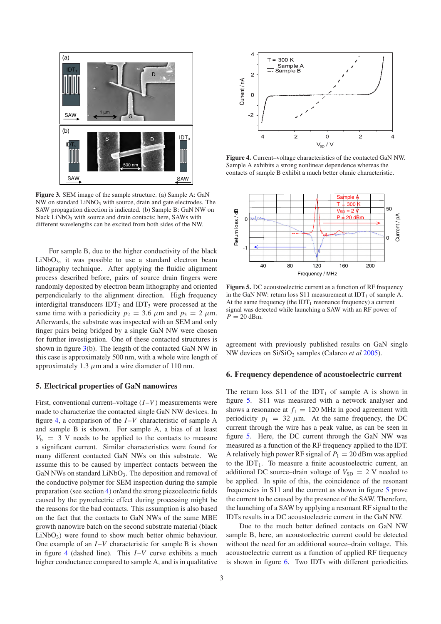<span id="page-2-0"></span>

**Figure 3.** SEM image of the sample structure. (a) Sample A: GaN  $NW$  on standard  $LiNbO<sub>3</sub>$  with source, drain and gate electrodes. The SAW propagation direction is indicated. (b) Sample B: GaN NW on black  $LiNbO<sub>3</sub>$  with source and drain contacts; here, SAWs with different wavelengths can be excited from both sides of the NW.

For sample B, due to the higher conductivity of the black  $LiNbO<sub>3</sub>$ , it was possible to use a standard electron beam lithography technique. After applying the fluidic alignment process described before, pairs of source drain fingers were randomly deposited by electron beam lithography and oriented perpendicularly to the alignment direction. High frequency interdigital transducers  $IDT_2$  and  $IDT_3$  were processed at the same time with a periodicity  $p_2 = 3.6 \ \mu \text{m}$  and  $p_3 = 2 \ \mu \text{m}$ . Afterwards, the substrate was inspected with an SEM and only finger pairs being bridged by a single GaN NW were chosen for further investigation. One of these contacted structures is shown in figure [3\(](#page-2-0)b). The length of the contacted GaN NW in this case is approximately 500 nm, with a whole wire length of approximately 1.3  $\mu$ m and a wire diameter of 110 nm.

#### **5. Electrical properties of GaN nanowires**

First, conventional current–voltage  $(I-V)$  measurements were made to characterize the contacted single GaN NW devices. In figure [4,](#page-2-1) a comparison of the *I* –*V* characteristic of sample A and sample B is shown. For sample A, a bias of at least  $V_b$  = 3 V needs to be applied to the contacts to measure a significant current. Similar characteristics were found for many different contacted GaN NWs on this substrate. We assume this to be caused by imperfect contacts between the GaN NWs on standard  $LiNbO<sub>3</sub>$ . The deposition and removal of the conductive polymer for SEM inspection during the sample preparation (see section [4\)](#page-1-2) or/and the strong piezoelectric fields caused by the pyroelectric effect during processing might be the reasons for the bad contacts. This assumption is also based on the fact that the contacts to GaN NWs of the same MBE growth nanowire batch on the second substrate material (black LiNbO<sub>3</sub>) were found to show much better ohmic behaviour. One example of an *I* –*V* characteristic for sample B is shown in figure [4](#page-2-1) (dashed line). This *I*-*V* curve exhibits a much higher conductance compared to sample A, and is in qualitative

<span id="page-2-1"></span>

<span id="page-2-2"></span>**Figure 4.** Current–voltage characteristics of the contacted GaN NW. Sample A exhibits a strong nonlinear dependence whereas the contacts of sample B exhibit a much better ohmic characteristic.



**Figure 5.** DC acoustoelectric current as a function of RF frequency in the GaN NW: return loss S11 measurement at  $IDT_1$  of sample A. At the same frequency (the  $IDT_1$  resonance frequency) a current signal was detected while launching a SAW with an RF power of  $P = 20$  dBm.

agreement with previously published results on GaN single NW devices on Si/SiO<sup>2</sup> samples (Calarco *et al* [2005\)](#page-4-4).

#### **6. Frequency dependence of acoustoelectric current**

The return loss  $S11$  of the IDT<sub>1</sub> of sample A is shown in figure [5.](#page-2-2) S11 was measured with a network analyser and shows a resonance at  $f_1 = 120$  MHz in good agreement with periodicity  $p_1 = 32 \mu m$ . At the same frequency, the DC current through the wire has a peak value, as can be seen in figure [5.](#page-2-2) Here, the DC current through the GaN NW was measured as a function of the RF frequency applied to the IDT. A relatively high power RF signal of  $P_1 = 20$  dBm was applied to the  $IDT_1$ . To measure a finite acoustoelectric current, an additional DC source–drain voltage of  $V_{SD} = 2$  V needed to be applied. In spite of this, the coincidence of the resonant frequencies in S11 and the current as shown in figure [5](#page-2-2) prove the current to be caused by the presence of the SAW. Therefore, the launching of a SAW by applying a resonant RF signal to the IDTs results in a DC acoustoelectric current in the GaN NW.

Due to the much better defined contacts on GaN NW sample B, here, an acoustoelectric current could be detected without the need for an additional source–drain voltage. This acoustoelectric current as a function of applied RF frequency is shown in figure [6.](#page-3-0) Two IDTs with different periodicities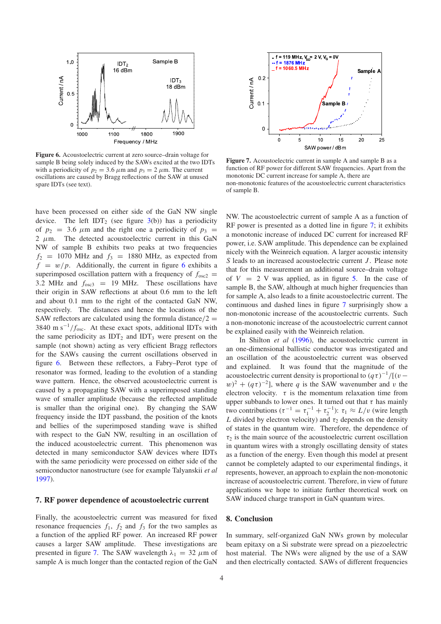<span id="page-3-0"></span>

**Figure 6.** Acoustoelectric current at zero source–drain voltage for sample B being solely induced by the SAWs excited at the two IDTs with a periodicity of  $p_2 = 3.6 \ \mu \text{m}$  and  $p_3 = 2 \ \mu \text{m}$ . The current oscillations are caused by Bragg reflections of the SAW at unused spare IDTs (see text).

have been processed on either side of the GaN NW single device. The left IDT<sub>2</sub> (see figure  $3(b)$  $3(b)$ ) has a periodicity of  $p_2$  = 3.6  $\mu$ m and the right one a periodicity of  $p_3$  = 2  $\mu$ m. The detected acoustoelectric current in this GaN NW of sample B exhibits two peaks at two frequencies  $f_2$  = 1070 MHz and  $f_3$  = 1880 MHz, as expected from  $f = w/p$ . Additionally, the current in figure [6](#page-3-0) exhibits a superimposed oscillation pattern with a frequency of  $f_{\text{osc2}} =$ 3.2 MHz and  $f_{\text{osc3}}$  = 19 MHz. These oscillations have their origin in SAW reflections at about 0.6 mm to the left and about 0.1 mm to the right of the contacted GaN NW, respectively. The distances and hence the locations of the SAW reflectors are calculated using the formula distance/ $2 =$ 3840 m  $s^{-1}/f_{\text{osc}}$ . At these exact spots, additional IDTs with the same periodicity as  $IDT_2$  and  $IDT_3$  were present on the sample (not shown) acting as very efficient Bragg reflectors for the SAWs causing the current oscillations observed in figure [6.](#page-3-0) Between these reflectors, a Fabry–Perot type of resonator was formed, leading to the evolution of a standing wave pattern. Hence, the observed acoustoelectric current is caused by a propagating SAW with a superimposed standing wave of smaller amplitude (because the reflected amplitude is smaller than the original one). By changing the SAW frequency inside the IDT passband, the position of the knots and bellies of the superimposed standing wave is shifted with respect to the GaN NW, resulting in an oscillation of the induced acoustoelectric current. This phenomenon was detected in many semiconductor SAW devices where IDTs with the same periodicity were processed on either side of the semiconductor nanostructure (see for example Talyanskii *et al* [1997\)](#page-4-20).

#### **7. RF power dependence of acoustoelectric current**

Finally, the acoustoelectric current was measured for fixed resonance frequencies  $f_1$ ,  $f_2$  and  $f_3$  for the two samples as a function of the applied RF power. An increased RF power causes a larger SAW amplitude. These investigations are presented in figure [7.](#page-3-1) The SAW wavelength  $\lambda_1 = 32 \mu m$  of sample A is much longer than the contacted region of the GaN

<span id="page-3-1"></span>

**Figure 7.** Acoustoelectric current in sample A and sample B as a function of RF power for different SAW frequencies. Apart from the monotonic DC current increase for sample A, there are non-monotonic features of the acoustoelectric current characteristics of sample B.

NW. The acoustoelectric current of sample A as a function of RF power is presented as a dotted line in figure [7;](#page-3-1) it exhibits a monotonic increase of induced DC current for increased RF power, i.e. SAW amplitude. This dependence can be explained nicely with the Weinreich equation. A larger acoustic intensity *S* leads to an increased acoustoelectric current *J*. Please note that for this measurement an additional source–drain voltage of  $V = 2$  V was applied, as in figure [5.](#page-2-2) In the case of sample B, the SAW, although at much higher frequencies than for sample A, also leads to a finite acoustoelectric current. The continuous and dashed lines in figure [7](#page-3-1) surprisingly show a non-monotonic increase of the acoustoelectric currents. Such a non-monotonic increase of the acoustoelectric current cannot be explained easily with the Weinreich relation.

In Shilton *et al* [\(1996\)](#page-4-14), the acoustoelectric current in an one-dimensional ballistic conductor was investigated and an oscillation of the acoustoelectric current was observed and explained. It was found that the magnitude of the acoustoelectric current density is proportional to  $(q\tau)^{-1}/[(v (w)^2 + (q\tau)^{-2}$ , where q is the SAW wavenumber and v the electron velocity.  $\tau$  is the momentum relaxation time from upper subbands to lower ones. It turned out that  $\tau$  has mainly two contributions ( $\tau^{-1} = \tau_1^{-1} + \tau_2^{-1}$ ):  $\tau_1 \approx L/v$  (wire length *L* divided by electron velocity) and  $\tau_2$  depends on the density of states in the quantum wire. Therefore, the dependence of  $\tau_2$  is the main source of the acoustoelectric current oscillation in quantum wires with a strongly oscillating density of states as a function of the energy. Even though this model at present cannot be completely adapted to our experimental findings, it represents, however, an approach to explain the non-monotonic increase of acoustoelectric current. Therefore, in view of future applications we hope to initiate further theoretical work on SAW induced charge transport in GaN quantum wires.

#### **8. Conclusion**

In summary, self-organized GaN NWs grown by molecular beam epitaxy on a Si substrate were spread on a piezoelectric host material. The NWs were aligned by the use of a SAW and then electrically contacted. SAWs of different frequencies